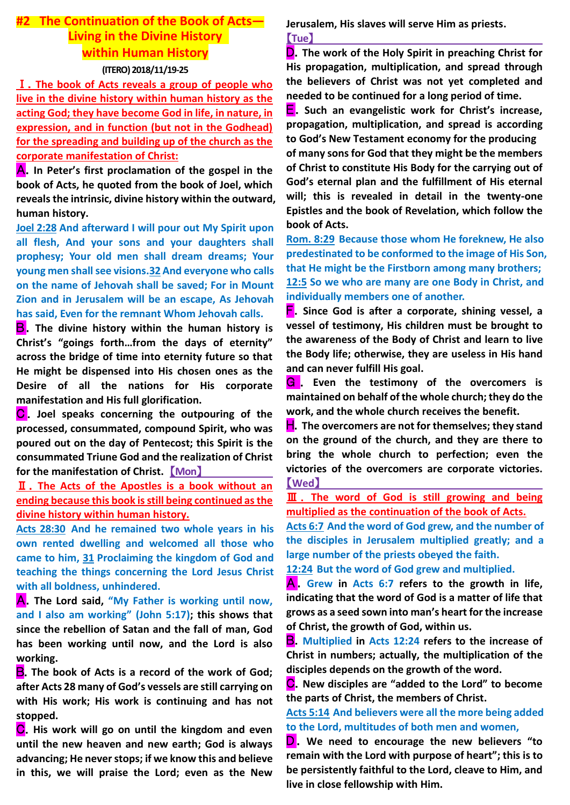# **#2 The Continuation of the Book of Acts— Living in the Divine History within Human History (ITERO)2018/11/19-25**

Ⅰ.**The book of Acts reveals a group of people who live in the divine history within human history as the acting God; they have become God in life, in nature, in expression, and in function (but not in the Godhead) for the spreading and building up of the church as the corporate manifestation of Christ:**

A.**In Peter's first proclamation of the gospel in the book of Acts, he quoted from the book of Joel, which reveals the intrinsic, divine history within the outward, human history.**

**Joel 2:28 And afterward I will pour out My Spirit upon all flesh, And your sons and your daughters shall prophesy; Your old men shall dream dreams; Your young men shall see visions.32 And everyone who calls on the name of Jehovah shall be saved; For in Mount Zion and in Jerusalem will be an escape, As Jehovah has said, Even for the remnant Whom Jehovah calls.**

**B**. The divine history within the human history is **Christ's "goings forth…from the days of eternity" across the bridge of time into eternity future so that He might be dispensed into His chosen ones as the Desire of all the nations for His corporate manifestation and His full glorification.**

**C**. Joel speaks concerning the outpouring of the **processed, consummated, compound Spirit, who was poured out on the day of Pentecost; this Spirit is the consummated Triune God and the realization of Christ for the manifestation of Christ.** 【**Mon**】

Ⅱ.**The Acts of the Apostles is a book without an ending because this book is still being continued as the divine history within human history.**

**Acts 28:30 And he remained two whole years in his own rented dwelling and welcomed all those who came to him, 31 Proclaiming the kingdom of God and teaching the things concerning the Lord Jesus Christ with all boldness, unhindered.**

A.**The Lord said, "My Father is working until now, and I also am working" (John 5:17); this shows that since the rebellion of Satan and the fall of man, God has been working until now, and the Lord is also working.**

B.**The book of Acts is a record of the work of God; after Acts 28 many of God's vessels are still carrying on with His work; His work is continuing and has not stopped.**

**C**. His work will go on until the kingdom and even **until the new heaven and new earth; God is always advancing; He never stops; if we know this and believe in this, we will praise the Lord; even as the New** 

**Jerusalem, His slaves will serve Him as priests.** 【**Tue**】

D.**The work of the Holy Spirit in preaching Christ for His propagation, multiplication, and spread through the believers of Christ was not yet completed and needed to be continued for a long period of time.**

E.**Such an evangelistic work for Christ's increase, propagation, multiplication, and spread is according to God's New Testament economy for the producing of many sons for God that they might be the members of Christ to constitute His Body for the carrying out of God's eternal plan and the fulfillment of His eternal will; this is revealed in detail in the twenty-one Epistles and the book of Revelation, which follow the book of Acts.**

**Rom. 8:29 Because those whom He foreknew, He also predestinated to be conformed to the image of His Son, that He might be the Firstborn among many brothers; 12:5 So we who are many are one Body in Christ, and individually members one of another.**

F.**Since God is after a corporate, shining vessel, a vessel of testimony, His children must be brought to the awareness of the Body of Christ and learn to live the Body life; otherwise, they are useless in His hand and can never fulfill His goal.**

G . **Even the testimony of the overcomers is maintained on behalf of the whole church; they do the work, and the whole church receives the benefit.**

H.**The overcomers are not for themselves; they stand on the ground of the church, and they are there to bring the whole church to perfection; even the victories of the overcomers are corporate victories.**  【**Wed**】

Ⅲ . **The word of God is still growing and being multiplied as the continuation of the book of Acts.**

**Acts 6:7 And the word of God grew, and the number of the disciples in Jerusalem multiplied greatly; and a large number of the priests obeyed the faith.**

**12:24 But the word of God grew and multiplied.**

A .**Grew in Acts 6:7 refers to the growth in life, indicating that the word of God is a matter of life that grows as a seed sown into man's heart for the increase of Christ, the growth of God, within us.**

B.**Multiplied in Acts 12:24 refers to the increase of Christ in numbers; actually, the multiplication of the disciples depends on the growth of the word.** 

C.**New disciples are "added to the Lord" to become the parts of Christ, the members of Christ.**

**Acts 5:14 And believers were all the more being added to the Lord, multitudes of both men and women,**

**D**. We need to encourage the new believers "to **remain with the Lord with purpose of heart"; this is to be persistently faithful to the Lord, cleave to Him, and live in close fellowship with Him.**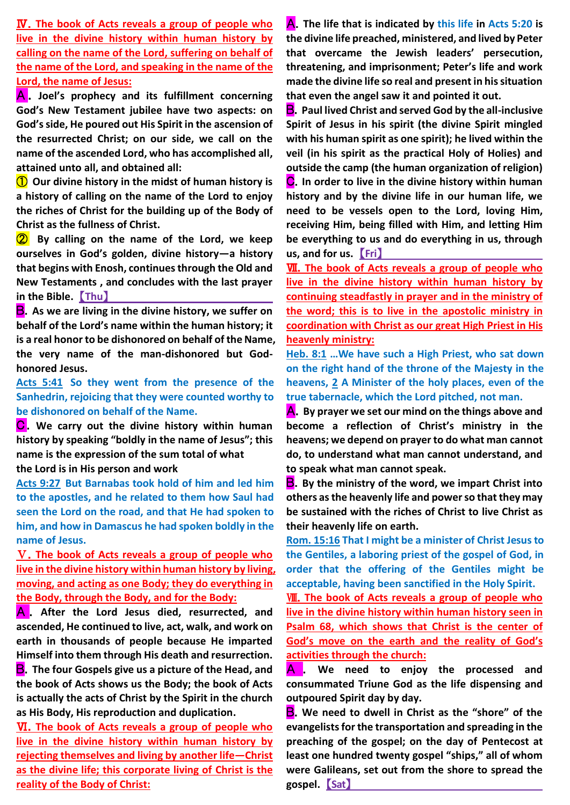Ⅳ.**The book of Acts reveals a group of people who live in the divine history within human history by calling on the name of the Lord, suffering on behalf of the name of the Lord, and speaking in the name of the Lord, the name of Jesus:**

A . **Joel's prophecy and its fulfillment concerning God's New Testament jubilee have two aspects: on God's side, He poured out His Spirit in the ascension of the resurrected Christ; on our side, we call on the name of the ascended Lord, who has accomplished all, attained unto all, and obtained all:**

① **Our divine history in the midst of human history is a history of calling on the name of the Lord to enjoy the riches of Christ for the building up of the Body of Christ as the fullness of Christ.**

② **By calling on the name of the Lord, we keep ourselves in God's golden, divine history—a history that begins with Enosh, continues through the Old and New Testaments , and concludes with the last prayer in the Bible.** 【**Thu**】

B.**As we are living in the divine history, we suffer on behalf of the Lord's name within the human history; it is a real honor to be dishonored on behalf of the Name, the very name of the man-dishonored but Godhonored Jesus.**

**Acts 5:41 So they went from the presence of the Sanhedrin, rejoicing that they were counted worthy to be dishonored on behalf of the Name.**

**C**. We carry out the divine history within human **history by speaking "boldly in the name of Jesus"; this name is the expression of the sum total of what the Lord is in His person and work**

**Acts 9:27 But Barnabas took hold of him and led him to the apostles, and he related to them how Saul had seen the Lord on the road, and that He had spoken to him, and how in Damascus he had spoken boldly in the name of Jesus.**

Ⅴ.**The book of Acts reveals a group of people who live in the divine history within human history by living, moving, and acting as one Body; they do everything in the Body, through the Body, and for the Body:**

A. After the Lord Jesus died, resurrected, and **ascended, He continued to live, act, walk, and work on earth in thousands of people because He imparted Himself into them through His death and resurrection. B**. The four Gospels give us a picture of the Head, and **the book of Acts shows us the Body; the book of Acts is actually the acts of Christ by the Spirit in the church as His Body, His reproduction and duplication.**

Ⅵ.**The book of Acts reveals a group of people who live in the divine history within human history by rejecting themselves and living by another life—Christ as the divine life; this corporate living of Christ is the reality of the Body of Christ:**

A.**The life that is indicated by this life in Acts 5:20 is the divine life preached, ministered, and lived by Peter that overcame the Jewish leaders' persecution, threatening, and imprisonment; Peter's life and work made the divine life so real and present in his situation that even the angel saw it and pointed it out.** 

B.**Paul lived Christ and served God by the all-inclusive Spirit of Jesus in his spirit (the divine Spirit mingled with his human spirit as one spirit); he lived within the veil (in his spirit as the practical Holy of Holies) and outside the camp (the human organization of religion)** C.**In order to live in the divine history within human history and by the divine life in our human life, we need to be vessels open to the Lord, loving Him, receiving Him, being filled with Him, and letting Him be everything to us and do everything in us, through us, and for us.** 【**Fri**】

**WI.** The book of Acts reveals a group of people who **live in the divine history within human history by continuing steadfastly in prayer and in the ministry of the word; this is to live in the apostolic ministry in coordination with Christ as our great High Priest in His heavenly ministry:**

**Heb. 8:1 …We have such a High Priest, who sat down on the right hand of the throne of the Majesty in the heavens, 2 A Minister of the holy places, even of the true tabernacle, which the Lord pitched, not man.**

A.**By prayer we set our mind on the things above and become a reflection of Christ's ministry in the heavens; we depend on prayer to do what man cannot do, to understand what man cannot understand, and to speak what man cannot speak.** 

B.**By the ministry of the word, we impart Christ into others as the heavenly life and power so that they may be sustained with the riches of Christ to live Christ as their heavenly life on earth.**

**Rom. 15:16 That I might be a minister of Christ Jesus to the Gentiles, a laboring priest of the gospel of God, in order that the offering of the Gentiles might be acceptable, having been sanctified in the Holy Spirit.**

Ⅷ.**The book of Acts reveals a group of people who live in the divine history within human history seen in Psalm 68, which shows that Christ is the center of God's move on the earth and the reality of God's activities through the church:**

A . **We need to enjoy the processed and consummated Triune God as the life dispensing and outpoured Spirit day by day.**

B.**We need to dwell in Christ as the "shore" of the evangelists for the transportation and spreading in the preaching of the gospel; on the day of Pentecost at least one hundred twenty gospel "ships," all of whom were Galileans, set out from the shore to spread the gospel.** 【**Sat**】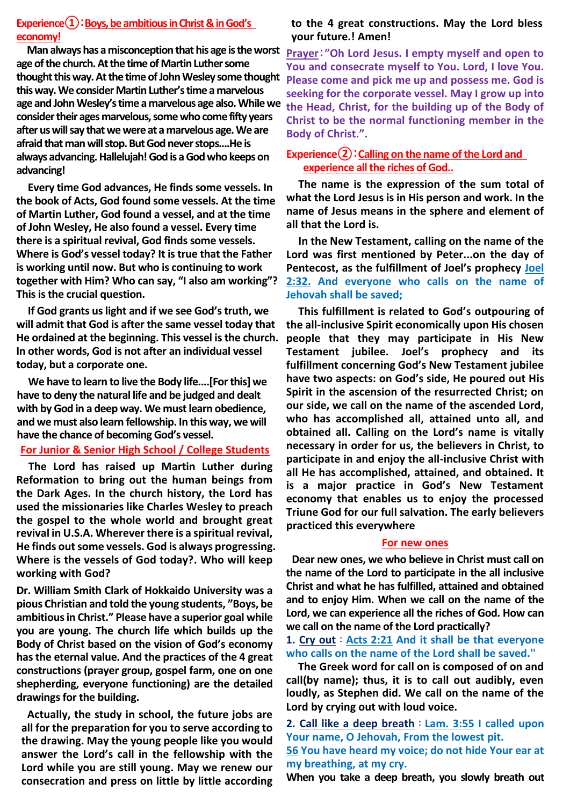## **Experience①**:**Boys, be ambitious in Christ & in God's economy!**

 **Man always has a misconception that his age is the worst age of the church. At the time of Martin Luther some thought this way. At the time of John Wesley some thought Please come and pick me up and possess me. God is this way. We consider Martin Luther's time a marvelous age and John Wesley's time a marvelous age also. While we consider their ages marvelous, some who come fifty years after us will say that we were at a marvelous age. We are afraid that man will stop. But God never stops....He is always advancing. Hallelujah! God is a God who keeps on advancing!**

**Every time God advances, He finds some vessels. In the book of Acts, God found some vessels. At the time of Martin Luther, God found a vessel, and at the time of John Wesley, He also found a vessel. Every time there is a spiritual revival, God finds some vessels. Where is God's vessel today? It is true that the Father is working until now. But who is continuing to work together with Him? Who can say, "I also am working"? This is the crucial question.**

**If God grants us light and if we see God's truth, we will admit that God is after the same vessel today that He ordained at the beginning. This vessel is the church. In other words, God is not after an individual vessel today, but a corporate one.**

**We have to learn to live the Body life....[For this] we have to deny the natural life and be judged and dealt with by God in a deep way. We must learn obedience, and we must also learn fellowship. In this way, we will have the chance of becoming God's vessel.**

## **For Junior & Senior High School / College Students**

**The Lord has raised up Martin Luther during Reformation to bring out the human beings from the Dark Ages. In the church history, the Lord has used the missionaries like Charles Wesley to preach the gospel to the whole world and brought great revival in U.S.A. Wherever there is a spiritual revival, He finds out some vessels. God is always progressing. Where is the vessels of God today?. Who will keep working with God?** 

**Dr. William Smith Clark of Hokkaido University was a pious Christian and told the young students, "Boys, be ambitious in Christ." Please have a superior goal while you are young. The church life which builds up the Body of Christ based on the vision of God's economy has the eternal value. And the practices of the 4 great constructions (prayer group, gospel farm, one on one shepherding, everyone functioning) are the detailed drawingsfor the building.**

**Actually, the study in school, the future jobs are all for the preparation for you to serve according to the drawing. May the young people like you would answer the Lord's call in the fellowship with the Lord while you are still young. May we renew our consecration and press on little by little according** 

### **to the 4 great constructions. May the Lord bless your future.! Amen!**

**Prayer**:**"Oh Lord Jesus. I empty myself and open to You and consecrate myself to You. Lord, I love You. seeking for the corporate vessel. May I grow up into the Head, Christ, for the building up of the Body of Christ to be the normal functioning member in the Body of Christ.".**

## **Experience②**:**Calling on the name of the Lord and experience all the riches of God..**

**The name is the expression of the sum total of what the Lord Jesus is in His person and work. In the name of Jesus means in the sphere and element of all that the Lord is.** 

**In the New Testament, calling on the name of the Lord was first mentioned by Peter...on the day of Pentecost, as the fulfillment of Joel's prophecy Joel 2:32. And everyone who calls on the name of Jehovah shall be saved;**

**This fulfillment is related to God's outpouring of the all-inclusive Spirit economically upon His chosen people that they may participate in His New Testament jubilee. Joel's prophecy and its fulfillment concerning God's New Testament jubilee have two aspects: on God's side, He poured out His Spirit in the ascension of the resurrected Christ; on our side, we call on the name of the ascended Lord, who has accomplished all, attained unto all, and obtained all. Calling on the Lord's name is vitally necessary in order for us, the believers in Christ, to participate in and enjoy the all-inclusive Christ with all He has accomplished, attained, and obtained. It is a major practice in God's New Testament economy that enables us to enjoy the processed Triune God for our full salvation. The early believers practiced this everywhere**

### **For new ones**

**Dear new ones, we who believe in Christ must call on the name of the Lord to participate in the all inclusive Christ and what he has fulfilled, attained and obtained and to enjoy Him. When we call on the name of the Lord, we can experience all the riches of God. How can we call on the name of the Lord practically?**

**1. Cry out**:**Acts 2:21 And it shall be that everyone who calls on the name of the Lord shall be saved.''**

 **The Greek word for call on is composed of on and call(by name); thus, it is to call out audibly, even loudly, as Stephen did. We call on the name of the Lord by crying out with loud voice.**

**2. Call like a deep breath**:**Lam. 3:55 I called upon Your name, O Jehovah, From the lowest pit. 56 You have heard my voice; do not hide Your ear at my breathing, at my cry.** 

**When you take a deep breath, you slowly breath out**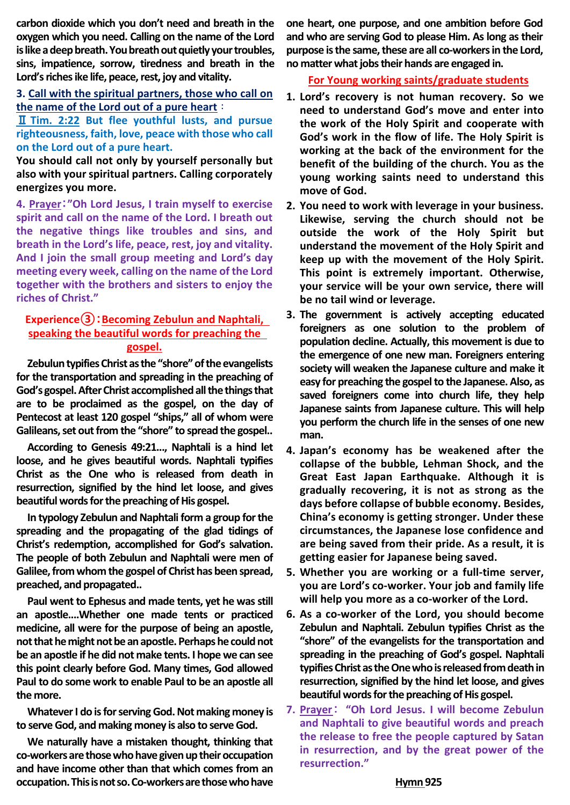**carbon dioxide which you don't need and breath in the oxygen which you need. Calling on the name of the Lord is like a deep breath. You breath out quietly your troubles, sins, impatience, sorrow, tiredness and breath in the Lord's riches ike life, peace, rest, joy and vitality.** 

## **3. Call with the spiritual partners, those who call on the name of the Lord out of a pure heart**:

Ⅱ **Tim. 2:22 But flee youthful lusts, and pursue righteousness, faith, love, peace with those who call on the Lord out of a pure heart.** 

**You should call not only by yourself personally but also with your spiritual partners. Calling corporately energizes you more.** 

**4. Prayer**:**"Oh Lord Jesus, I train myself to exercise spirit and call on the name of the Lord. I breath out the negative things like troubles and sins, and breath in the Lord's life, peace, rest, joy and vitality. And I join the small group meeting and Lord's day meeting every week, calling on the name of the Lord together with the brothers and sisters to enjoy the riches of Christ."** 

## **Experience③**:**Becoming Zebulun and Naphtali, speaking the beautiful words for preaching the gospel.**

**Zebulun typifies Christ as the "shore" of the evangelists for the transportation and spreading in the preaching of God's gospel. After Christ accomplished all the things that are to be proclaimed as the gospel, on the day of Pentecost at least 120 gospel "ships," all of whom were Galileans, set out from the "shore" to spread the gospel..**

**According to Genesis 49:21..., Naphtali is a hind let loose, and he gives beautiful words. Naphtali typifies Christ as the One who is released from death in resurrection, signified by the hind let loose, and gives beautiful words for the preaching of His gospel.**

**In typology Zebulun and Naphtali form a group for the spreading and the propagating of the glad tidings of Christ's redemption, accomplished for God's salvation. The people of both Zebulun and Naphtali were men of Galilee, from whom the gospel of Christ has been spread, preached, and propagated..**

**Paul went to Ephesus and made tents, yet he was still an apostle....Whether one made tents or practiced medicine, all were for the purpose of being an apostle, not that he might not be an apostle. Perhaps he could not be an apostle if he did not make tents. I hope we can see this point clearly before God. Many times, God allowed Paul to do some work to enable Paul to be an apostle all the more.**

**Whatever I do is for serving God. Not making money is to serve God, and making money is also to serve God.**

**We naturally have a mistaken thought, thinking that co-workers are those who have given up their occupation and have income other than that which comes from an occupation. This is not so. Co-workers are those who have** 

**one heart, one purpose, and one ambition before God and who are serving God to please Him. As long as their purpose is the same, these are all co-workers in the Lord, no matter what jobs their hands are engaged in.**

### **For Young working saints/graduate students**

- **1. Lord's recovery is not human recovery. So we need to understand God's move and enter into the work of the Holy Spirit and cooperate with God's work in the flow of life. The Holy Spirit is working at the back of the environment for the benefit of the building of the church. You as the young working saints need to understand this move of God.**
- **2. You need to work with leverage in your business. Likewise, serving the church should not be outside the work of the Holy Spirit but understand the movement of the Holy Spirit and keep up with the movement of the Holy Spirit. This point is extremely important. Otherwise, your service will be your own service, there will be no tail wind or leverage.**
- **3. The government is actively accepting educated foreigners as one solution to the problem of population decline. Actually, this movement is due to the emergence of one new man. Foreigners entering society will weaken the Japanese culture and make it easy for preaching the gospel to the Japanese. Also, as saved foreigners come into church life, they help Japanese saints from Japanese culture. This will help you perform the church life in the senses of one new man.**
- **4. Japan's economy has be weakened after the collapse of the bubble, Lehman Shock, and the Great East Japan Earthquake. Although it is gradually recovering, it is not as strong as the days before collapse of bubble economy. Besides, China's economy is getting stronger. Under these circumstances, the Japanese lose confidence and are being saved from their pride. As a result, it is getting easier for Japanese being saved.**
- **5. Whether you are working or a full-time server, you are Lord's co-worker. Your job and family life will help you more as a co-worker of the Lord.**
- **6. As a co-worker of the Lord, you should become Zebulun and Naphtali. Zebulun typifies Christ as the "shore" of the evangelists for the transportation and spreading in the preaching of God's gospel. Naphtali typifies Christ as the One who is released from death in resurrection, signified by the hind let loose, and gives beautiful words for the preaching of His gospel.**
- **7. Prayer**: **"Oh Lord Jesus. I will become Zebulun and Naphtali to give beautiful words and preach the release to free the people captured by Satan in resurrection, and by the great power of the resurrection."**

#### **Hymn 925**